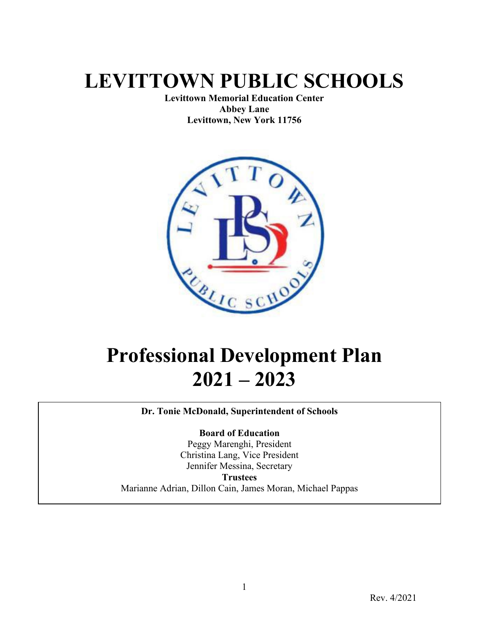# **LEVITTOWN PUBLIC SCHOOLS**

**Levittown Memorial Education Center Abbey Lane Levittown, New York 11756**



# **Professional Development Plan 2021 – 2023**

**Dr. Tonie McDonald, Superintendent of Schools**

**Board of Education**

Peggy Marenghi, President Christina Lang, Vice President Jennifer Messina, Secretary **Trustees** Marianne Adrian, Dillon Cain, James Moran, Michael Pappas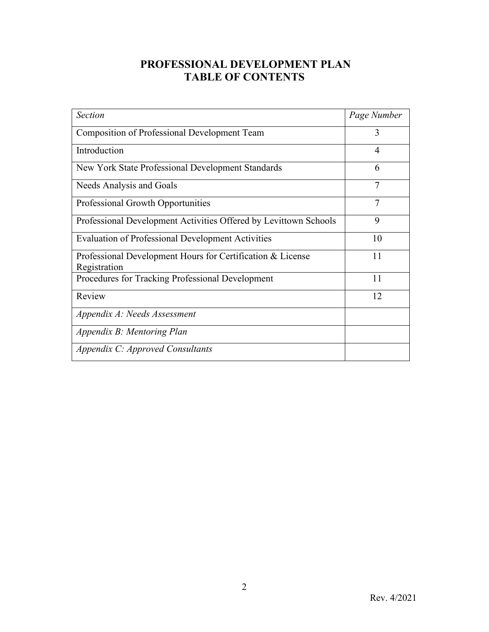# **PROFESSIONAL DEVELOPMENT PLAN TABLE OF CONTENTS**

| Section                                                                    | Page Number |
|----------------------------------------------------------------------------|-------------|
| <b>Composition of Professional Development Team</b>                        | 3           |
| Introduction                                                               | 4           |
| New York State Professional Development Standards                          | 6           |
| Needs Analysis and Goals                                                   | 7           |
| Professional Growth Opportunities                                          | 7           |
| Professional Development Activities Offered by Levittown Schools           | 9           |
| <b>Evaluation of Professional Development Activities</b>                   | 10          |
| Professional Development Hours for Certification & License<br>Registration | 11          |
| Procedures for Tracking Professional Development                           | 11          |
| Review                                                                     | 12          |
| Appendix A: Needs Assessment                                               |             |
| Appendix B: Mentoring Plan                                                 |             |
| Appendix C: Approved Consultants                                           |             |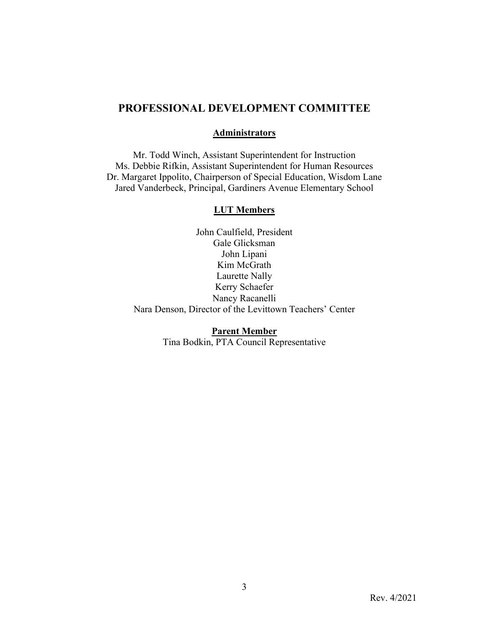### **PROFESSIONAL DEVELOPMENT COMMITTEE**

#### **Administrators**

Mr. Todd Winch, Assistant Superintendent for Instruction Ms. Debbie Rifkin, Assistant Superintendent for Human Resources Dr. Margaret Ippolito, Chairperson of Special Education, Wisdom Lane Jared Vanderbeck, Principal, Gardiners Avenue Elementary School

#### **LUT Members**

John Caulfield, President Gale Glicksman John Lipani Kim McGrath Laurette Nally Kerry Schaefer Nancy Racanelli Nara Denson, Director of the Levittown Teachers' Center

> **Parent Member** Tina Bodkin, PTA Council Representative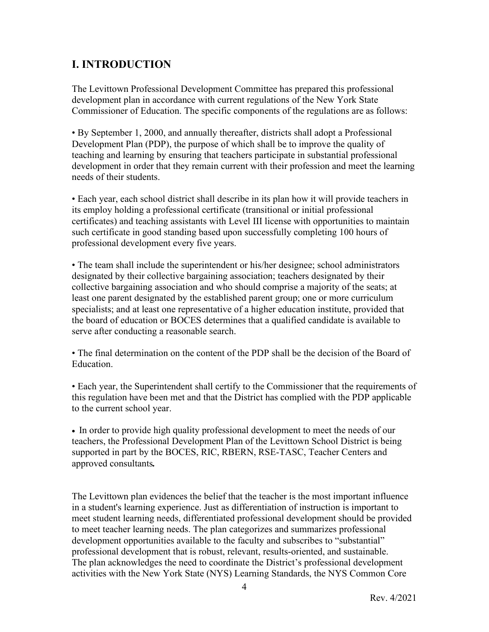# **I. INTRODUCTION**

The Levittown Professional Development Committee has prepared this professional development plan in accordance with current regulations of the New York State Commissioner of Education. The specific components of the regulations are as follows:

• By September 1, 2000, and annually thereafter, districts shall adopt a Professional Development Plan (PDP), the purpose of which shall be to improve the quality of teaching and learning by ensuring that teachers participate in substantial professional development in order that they remain current with their profession and meet the learning needs of their students.

• Each year, each school district shall describe in its plan how it will provide teachers in its employ holding a professional certificate (transitional or initial professional certificates) and teaching assistants with Level III license with opportunities to maintain such certificate in good standing based upon successfully completing 100 hours of professional development every five years.

• The team shall include the superintendent or his/her designee; school administrators designated by their collective bargaining association; teachers designated by their collective bargaining association and who should comprise a majority of the seats; at least one parent designated by the established parent group; one or more curriculum specialists; and at least one representative of a higher education institute, provided that the board of education or BOCES determines that a qualified candidate is available to serve after conducting a reasonable search.

• The final determination on the content of the PDP shall be the decision of the Board of Education.

• Each year, the Superintendent shall certify to the Commissioner that the requirements of this regulation have been met and that the District has complied with the PDP applicable to the current school year.

• In order to provide high quality professional development to meet the needs of our teachers, the Professional Development Plan of the Levittown School District is being supported in part by the BOCES, RIC, RBERN, RSE-TASC, Teacher Centers and approved consultants*.*

The Levittown plan evidences the belief that the teacher is the most important influence in a student's learning experience. Just as differentiation of instruction is important to meet student learning needs, differentiated professional development should be provided to meet teacher learning needs. The plan categorizes and summarizes professional development opportunities available to the faculty and subscribes to "substantial" professional development that is robust, relevant, results-oriented, and sustainable. The plan acknowledges the need to coordinate the District's professional development activities with the New York State (NYS) Learning Standards, the NYS Common Core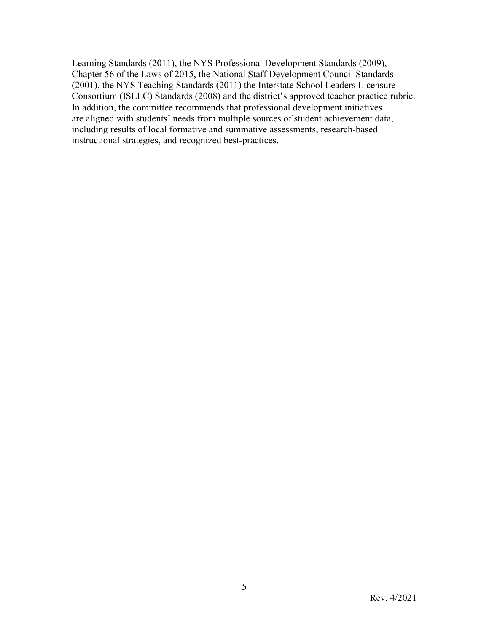Learning Standards (2011), the NYS Professional Development Standards (2009), Chapter 56 of the Laws of 2015, the National Staff Development Council Standards (2001), the NYS Teaching Standards (2011) the Interstate School Leaders Licensure Consortium (ISLLC) Standards (2008) and the district's approved teacher practice rubric. In addition, the committee recommends that professional development initiatives are aligned with students' needs from multiple sources of student achievement data, including results of local formative and summative assessments, research-based instructional strategies, and recognized best-practices.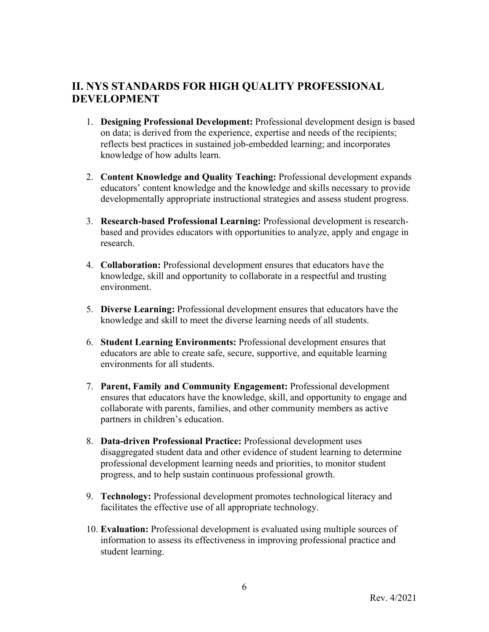### **II. NYS STANDARDS FOR HIGH QUALITY PROFESSIONAL DEVELOPMENT**

- 1. **Designing Professional Development:** Professional development design is based on data; is derived from the experience, expertise and needs of the recipients; reflects best practices in sustained job-embedded learning; and incorporates knowledge of how adults learn.
- 2. **Content Knowledge and Quality Teaching:** Professional development expands educators' content knowledge and the knowledge and skills necessary to provide developmentally appropriate instructional strategies and assess student progress.
- 3. **Research-based Professional Learning:** Professional development is researchbased and provides educators with opportunities to analyze, apply and engage in research.
- 4. **Collaboration:** Professional development ensures that educators have the knowledge, skill and opportunity to collaborate in a respectful and trusting environment.
- 5. **Diverse Learning:** Professional development ensures that educators have the knowledge and skill to meet the diverse learning needs of all students.
- 6. **Student Learning Environments:** Professional development ensures that educators are able to create safe, secure, supportive, and equitable learning environments for all students.
- 7. **Parent, Family and Community Engagement:** Professional development ensures that educators have the knowledge, skill, and opportunity to engage and collaborate with parents, families, and other community members as active partners in children's education.
- 8. **Data-driven Professional Practice:** Professional development uses disaggregated student data and other evidence of student learning to determine professional development learning needs and priorities, to monitor student progress, and to help sustain continuous professional growth.
- 9. **Technology:** Professional development promotes technological literacy and facilitates the effective use of all appropriate technology.
- 10. **Evaluation:** Professional development is evaluated using multiple sources of information to assess its effectiveness in improving professional practice and student learning.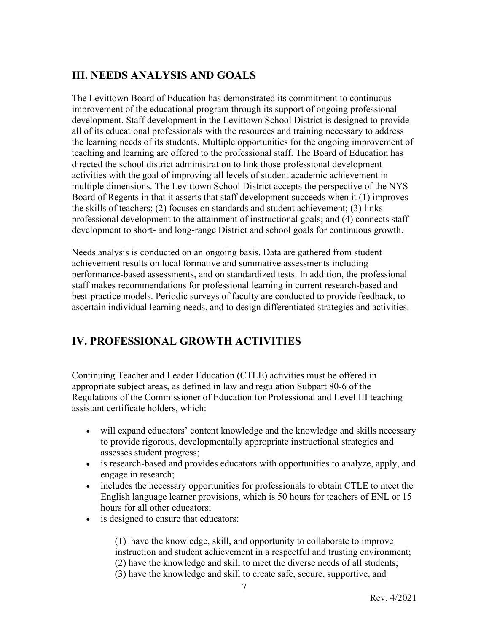# **III. NEEDS ANALYSIS AND GOALS**

The Levittown Board of Education has demonstrated its commitment to continuous improvement of the educational program through its support of ongoing professional development. Staff development in the Levittown School District is designed to provide all of its educational professionals with the resources and training necessary to address the learning needs of its students. Multiple opportunities for the ongoing improvement of teaching and learning are offered to the professional staff. The Board of Education has directed the school district administration to link those professional development activities with the goal of improving all levels of student academic achievement in multiple dimensions. The Levittown School District accepts the perspective of the NYS Board of Regents in that it asserts that staff development succeeds when it (1) improves the skills of teachers; (2) focuses on standards and student achievement; (3) links professional development to the attainment of instructional goals; and (4) connects staff development to short- and long-range District and school goals for continuous growth.

Needs analysis is conducted on an ongoing basis. Data are gathered from student achievement results on local formative and summative assessments including performance-based assessments, and on standardized tests. In addition, the professional staff makes recommendations for professional learning in current research-based and best-practice models. Periodic surveys of faculty are conducted to provide feedback, to ascertain individual learning needs, and to design differentiated strategies and activities.

# **IV. PROFESSIONAL GROWTH ACTIVITIES**

Continuing Teacher and Leader Education (CTLE) activities must be offered in appropriate subject areas, as defined in law and regulation Subpart 80-6 of the Regulations of the Commissioner of Education for Professional and Level III teaching assistant certificate holders, which:

- will expand educators' content knowledge and the knowledge and skills necessary to provide rigorous, developmentally appropriate instructional strategies and assesses student progress;
- is research-based and provides educators with opportunities to analyze, apply, and engage in research;
- includes the necessary opportunities for professionals to obtain CTLE to meet the English language learner provisions, which is 50 hours for teachers of ENL or 15 hours for all other educators;
- is designed to ensure that educators:

(1) have the knowledge, skill, and opportunity to collaborate to improve instruction and student achievement in a respectful and trusting environment; (2) have the knowledge and skill to meet the diverse needs of all students; (3) have the knowledge and skill to create safe, secure, supportive, and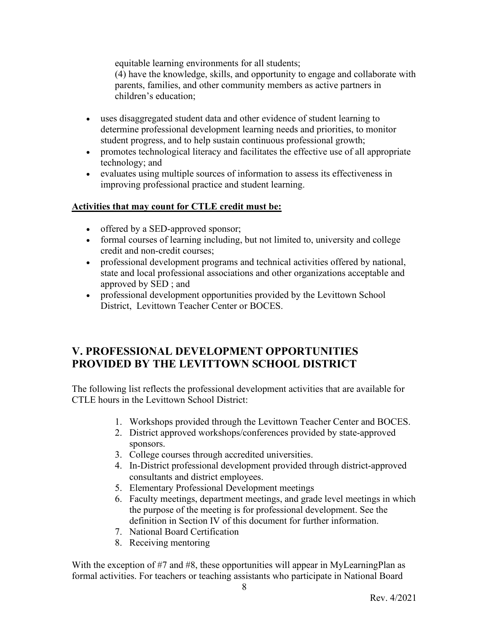equitable learning environments for all students;

(4) have the knowledge, skills, and opportunity to engage and collaborate with parents, families, and other community members as active partners in children's education;

- uses disaggregated student data and other evidence of student learning to determine professional development learning needs and priorities, to monitor student progress, and to help sustain continuous professional growth;
- promotes technological literacy and facilitates the effective use of all appropriate technology; and
- evaluates using multiple sources of information to assess its effectiveness in improving professional practice and student learning.

### **Activities that may count for CTLE credit must be:**

- offered by a SED-approved sponsor;
- formal courses of learning including, but not limited to, university and college credit and non-credit courses;
- professional development programs and technical activities offered by national, state and local professional associations and other organizations acceptable and approved by SED ; and
- professional development opportunities provided by the Levittown School District, Levittown Teacher Center or BOCES.

## **V. PROFESSIONAL DEVELOPMENT OPPORTUNITIES PROVIDED BY THE LEVITTOWN SCHOOL DISTRICT**

The following list reflects the professional development activities that are available for CTLE hours in the Levittown School District:

- 1. Workshops provided through the Levittown Teacher Center and BOCES.
- 2. District approved workshops/conferences provided by state-approved sponsors.
- 3. College courses through accredited universities.
- 4. In-District professional development provided through district-approved consultants and district employees.
- 5. Elementary Professional Development meetings
- 6. Faculty meetings, department meetings, and grade level meetings in which the purpose of the meeting is for professional development. See the definition in Section IV of this document for further information.
- 7. National Board Certification
- 8. Receiving mentoring

With the exception of #7 and #8, these opportunities will appear in MyLearningPlan as formal activities. For teachers or teaching assistants who participate in National Board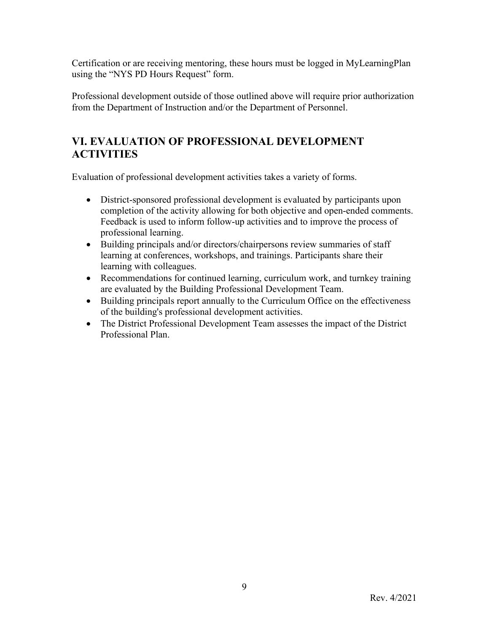Certification or are receiving mentoring, these hours must be logged in MyLearningPlan using the "NYS PD Hours Request" form.

Professional development outside of those outlined above will require prior authorization from the Department of Instruction and/or the Department of Personnel.

# **VI. EVALUATION OF PROFESSIONAL DEVELOPMENT ACTIVITIES**

Evaluation of professional development activities takes a variety of forms.

- District-sponsored professional development is evaluated by participants upon completion of the activity allowing for both objective and open-ended comments. Feedback is used to inform follow-up activities and to improve the process of professional learning.
- Building principals and/or directors/chairpersons review summaries of staff learning at conferences, workshops, and trainings. Participants share their learning with colleagues.
- Recommendations for continued learning, curriculum work, and turnkey training are evaluated by the Building Professional Development Team.
- Building principals report annually to the Curriculum Office on the effectiveness of the building's professional development activities.
- The District Professional Development Team assesses the impact of the District Professional Plan.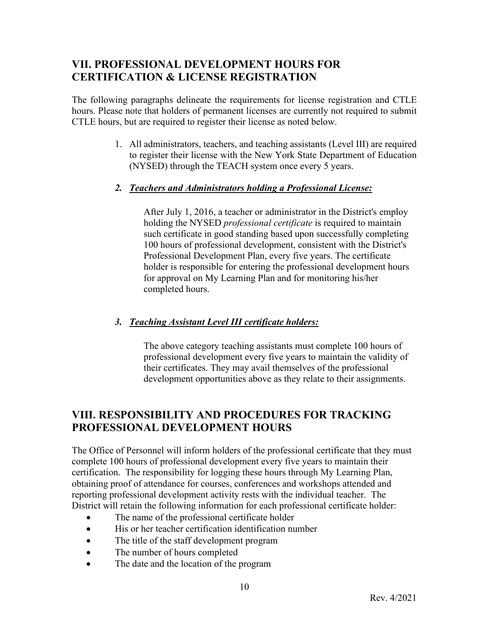## **VII. PROFESSIONAL DEVELOPMENT HOURS FOR CERTIFICATION & LICENSE REGISTRATION**

The following paragraphs delineate the requirements for license registration and CTLE hours. Please note that holders of permanent licenses are currently not required to submit CTLE hours, but are required to register their license as noted below.

> 1. All administrators, teachers, and teaching assistants (Level III) are required to register their license with the New York State Department of Education (NYSED) through the TEACH system once every 5 years.

### *2. Teachers and Administrators holding a Professional License:*

After July 1, 2016, a teacher or administrator in the District's employ holding the NYSED *professional certificate* is required to maintain such certificate in good standing based upon successfully completing 100 hours of professional development, consistent with the District's Professional Development Plan, every five years. The certificate holder is responsible for entering the professional development hours for approval on My Learning Plan and for monitoring his/her completed hours.

### *3. Teaching Assistant Level III certificate holders:*

The above category teaching assistants must complete 100 hours of professional development every five years to maintain the validity of their certificates. They may avail themselves of the professional development opportunities above as they relate to their assignments.

# **VIII. RESPONSIBILITY AND PROCEDURES FOR TRACKING PROFESSIONAL DEVELOPMENT HOURS**

The Office of Personnel will inform holders of the professional certificate that they must complete 100 hours of professional development every five years to maintain their certification. The responsibility for logging these hours through My Learning Plan, obtaining proof of attendance for courses, conferences and workshops attended and reporting professional development activity rests with the individual teacher. The District will retain the following information for each professional certificate holder:

- The name of the professional certificate holder
- His or her teacher certification identification number
- The title of the staff development program
- The number of hours completed
- The date and the location of the program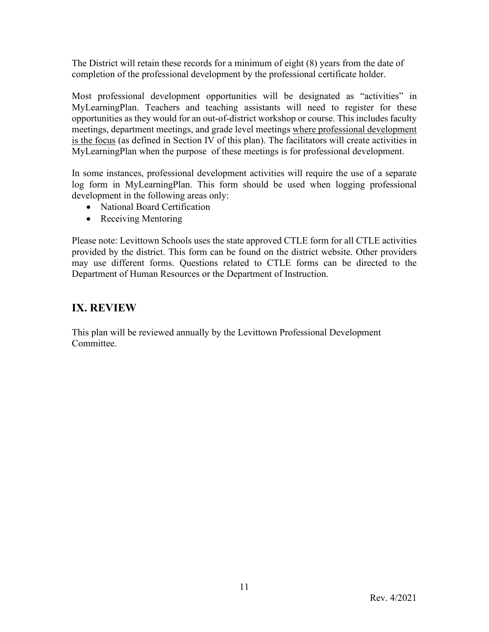The District will retain these records for a minimum of eight (8) years from the date of completion of the professional development by the professional certificate holder.

Most professional development opportunities will be designated as "activities" in MyLearningPlan. Teachers and teaching assistants will need to register for these opportunities as they would for an out-of-district workshop or course. This includes faculty meetings, department meetings, and grade level meetings where professional development is the focus (as defined in Section IV of this plan). The facilitators will create activities in MyLearningPlan when the purpose of these meetings is for professional development.

In some instances, professional development activities will require the use of a separate log form in MyLearningPlan. This form should be used when logging professional development in the following areas only:

- National Board Certification
- Receiving Mentoring

Please note: Levittown Schools uses the state approved CTLE form for all CTLE activities provided by the district. This form can be found on the district website. Other providers may use different forms. Questions related to CTLE forms can be directed to the Department of Human Resources or the Department of Instruction.

### **IX. REVIEW**

This plan will be reviewed annually by the Levittown Professional Development Committee.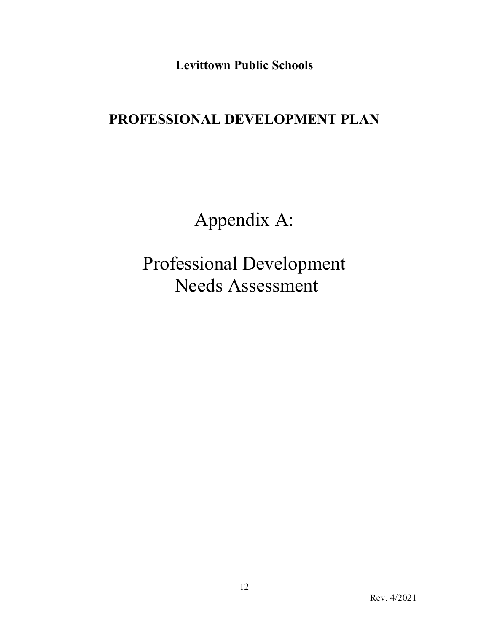**Levittown Public Schools**

# **PROFESSIONAL DEVELOPMENT PLAN**

Appendix A:

Professional Development Needs Assessment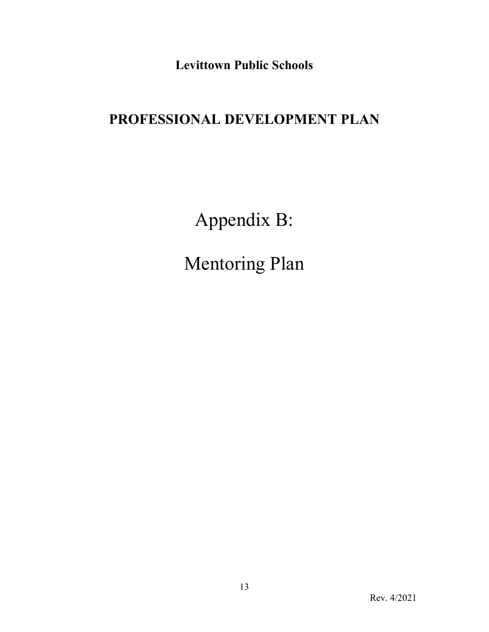**Levittown Public Schools**

# **PROFESSIONAL DEVELOPMENT PLAN**

Appendix B:

Mentoring Plan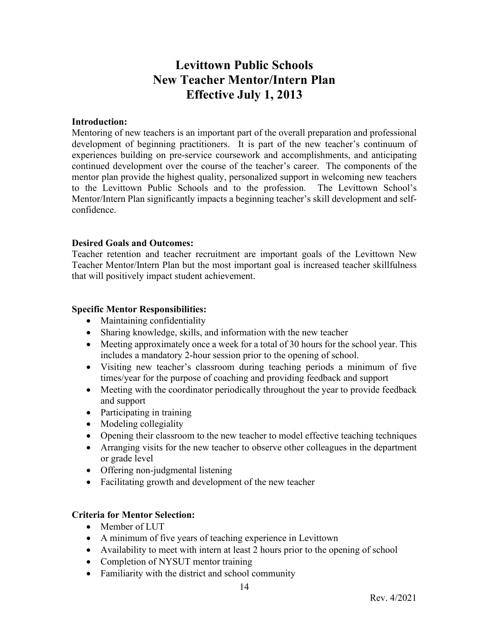# **Levittown Public Schools New Teacher Mentor/Intern Plan Effective July 1, 2013**

### **Introduction:**

Mentoring of new teachers is an important part of the overall preparation and professional development of beginning practitioners. It is part of the new teacher's continuum of experiences building on pre-service coursework and accomplishments, and anticipating continued development over the course of the teacher's career. The components of the mentor plan provide the highest quality, personalized support in welcoming new teachers to the Levittown Public Schools and to the profession. The Levittown School's Mentor/Intern Plan significantly impacts a beginning teacher's skill development and selfconfidence.

### **Desired Goals and Outcomes:**

Teacher retention and teacher recruitment are important goals of the Levittown New Teacher Mentor/Intern Plan but the most important goal is increased teacher skillfulness that will positively impact student achievement.

### **Specific Mentor Responsibilities:**

- Maintaining confidentiality
- Sharing knowledge, skills, and information with the new teacher
- Meeting approximately once a week for a total of 30 hours for the school year. This includes a mandatory 2-hour session prior to the opening of school.
- Visiting new teacher's classroom during teaching periods a minimum of five times/year for the purpose of coaching and providing feedback and support
- Meeting with the coordinator periodically throughout the year to provide feedback and support
- Participating in training
- Modeling collegiality
- Opening their classroom to the new teacher to model effective teaching techniques
- Arranging visits for the new teacher to observe other colleagues in the department or grade level
- Offering non-judgmental listening
- Facilitating growth and development of the new teacher

### **Criteria for Mentor Selection:**

- Member of LUT
- A minimum of five years of teaching experience in Levittown
- Availability to meet with intern at least 2 hours prior to the opening of school
- Completion of NYSUT mentor training
- Familiarity with the district and school community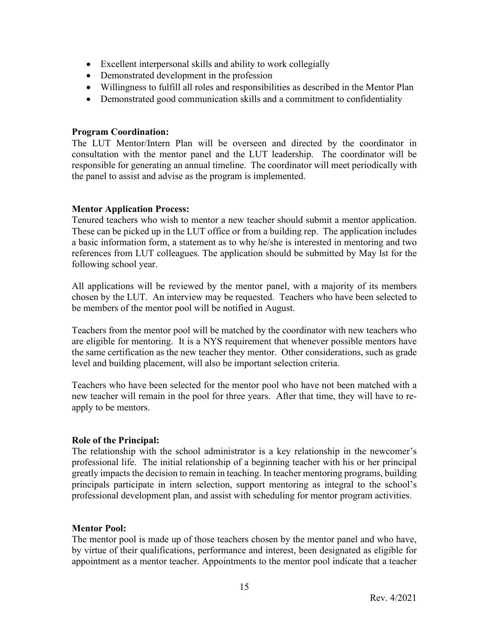- Excellent interpersonal skills and ability to work collegially
- Demonstrated development in the profession
- Willingness to fulfill all roles and responsibilities as described in the Mentor Plan
- Demonstrated good communication skills and a commitment to confidentiality

### **Program Coordination:**

The LUT Mentor/Intern Plan will be overseen and directed by the coordinator in consultation with the mentor panel and the LUT leadership. The coordinator will be responsible for generating an annual timeline. The coordinator will meet periodically with the panel to assist and advise as the program is implemented.

### **Mentor Application Process:**

Tenured teachers who wish to mentor a new teacher should submit a mentor application. These can be picked up in the LUT office or from a building rep. The application includes a basic information form, a statement as to why he/she is interested in mentoring and two references from LUT colleagues. The application should be submitted by May lst for the following school year.

All applications will be reviewed by the mentor panel, with a majority of its members chosen by the LUT. An interview may be requested. Teachers who have been selected to be members of the mentor pool will be notified in August.

Teachers from the mentor pool will be matched by the coordinator with new teachers who are eligible for mentoring. It is a NYS requirement that whenever possible mentors have the same certification as the new teacher they mentor. Other considerations, such as grade level and building placement, will also be important selection criteria.

Teachers who have been selected for the mentor pool who have not been matched with a new teacher will remain in the pool for three years. After that time, they will have to reapply to be mentors.

### **Role of the Principal:**

The relationship with the school administrator is a key relationship in the newcomer's professional life. The initial relationship of a beginning teacher with his or her principal greatly impacts the decision to remain in teaching. In teacher mentoring programs, building principals participate in intern selection, support mentoring as integral to the school's professional development plan, and assist with scheduling for mentor program activities.

### **Mentor Pool:**

The mentor pool is made up of those teachers chosen by the mentor panel and who have, by virtue of their qualifications, performance and interest, been designated as eligible for appointment as a mentor teacher. Appointments to the mentor pool indicate that a teacher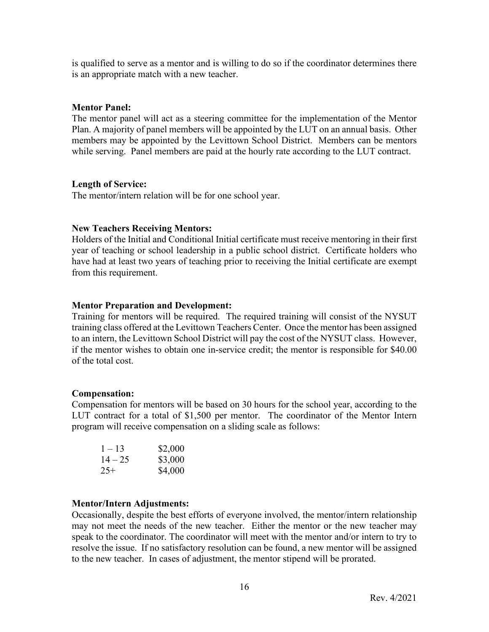is qualified to serve as a mentor and is willing to do so if the coordinator determines there is an appropriate match with a new teacher.

### **Mentor Panel:**

The mentor panel will act as a steering committee for the implementation of the Mentor Plan. A majority of panel members will be appointed by the LUT on an annual basis. Other members may be appointed by the Levittown School District. Members can be mentors while serving. Panel members are paid at the hourly rate according to the LUT contract.

### **Length of Service:**

The mentor/intern relation will be for one school year.

### **New Teachers Receiving Mentors:**

Holders of the Initial and Conditional Initial certificate must receive mentoring in their first year of teaching or school leadership in a public school district. Certificate holders who have had at least two years of teaching prior to receiving the Initial certificate are exempt from this requirement.

### **Mentor Preparation and Development:**

Training for mentors will be required. The required training will consist of the NYSUT training class offered at the Levittown Teachers Center. Once the mentor has been assigned to an intern, the Levittown School District will pay the cost of the NYSUT class. However, if the mentor wishes to obtain one in-service credit; the mentor is responsible for \$40.00 of the total cost.

### **Compensation:**

Compensation for mentors will be based on 30 hours for the school year, according to the LUT contract for a total of \$1,500 per mentor. The coordinator of the Mentor Intern program will receive compensation on a sliding scale as follows:

| $1 - 13$  | \$2,000 |
|-----------|---------|
| $14 - 25$ | \$3,000 |
| $25+$     | \$4,000 |

#### **Mentor/Intern Adjustments:**

Occasionally, despite the best efforts of everyone involved, the mentor/intern relationship may not meet the needs of the new teacher. Either the mentor or the new teacher may speak to the coordinator. The coordinator will meet with the mentor and/or intern to try to resolve the issue. If no satisfactory resolution can be found, a new mentor will be assigned to the new teacher. In cases of adjustment, the mentor stipend will be prorated.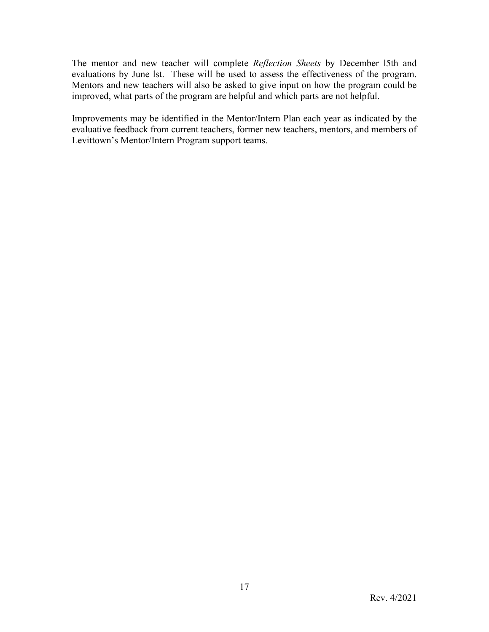The mentor and new teacher will complete *Reflection Sheets* by December l5th and evaluations by June lst. These will be used to assess the effectiveness of the program. Mentors and new teachers will also be asked to give input on how the program could be improved, what parts of the program are helpful and which parts are not helpful.

Improvements may be identified in the Mentor/Intern Plan each year as indicated by the evaluative feedback from current teachers, former new teachers, mentors, and members of Levittown's Mentor/Intern Program support teams.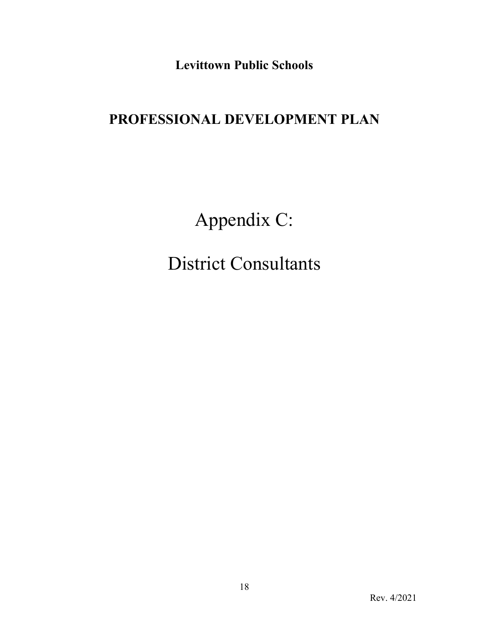**Levittown Public Schools**

# **PROFESSIONAL DEVELOPMENT PLAN**

Appendix C:

District Consultants